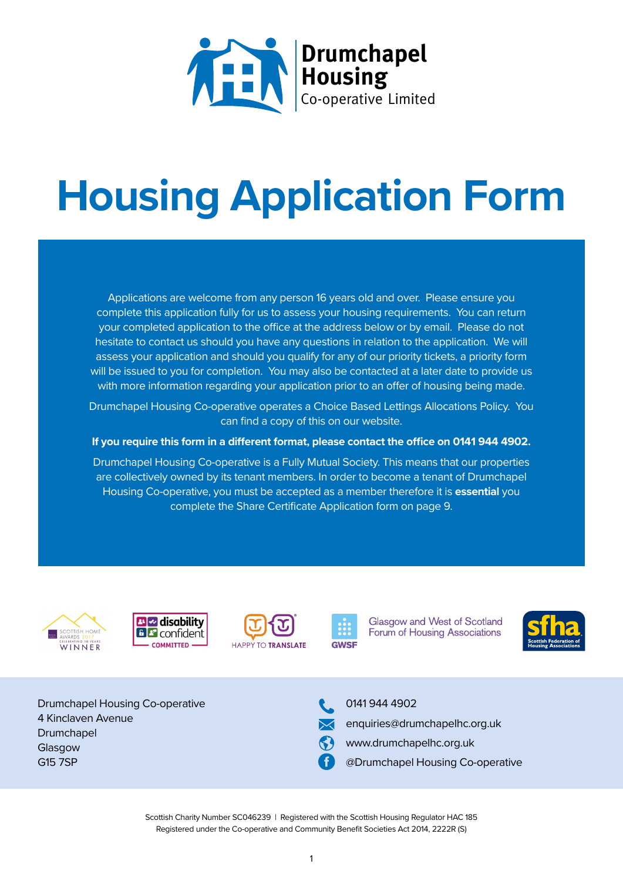

# **Housing Application Form**

Applications are welcome from any person 16 years old and over. Please ensure you complete this application fully for us to assess your housing requirements. You can return your completed application to the office at the address below or by email. Please do not hesitate to contact us should you have any questions in relation to the application. We will assess your application and should you qualify for any of our priority tickets, a priority form will be issued to you for completion. You may also be contacted at a later date to provide us with more information regarding your application prior to an offer of housing being made.

Drumchapel Housing Co-operative operates a Choice Based Lettings Allocations Policy. You can find a copy of this on our website.

**If you require this form in a different format, please contact the office on 0141 944 4902.**

Drumchapel Housing Co-operative is a Fully Mutual Society. This means that our properties are collectively owned by its tenant members. In order to become a tenant of Drumchapel Housing Co-operative, you must be accepted as a member therefore it is **essential** you complete the Share Certificate Application form on page 9.









**Glasgow and West of Scotland** Forum of Housing Associations



Drumchapel Housing Co-operative 4 Kinclaven Avenue Drumchapel Glasgow G15 7SP



0141 944 4902

- enquiries@drumchapelhc.org.uk
- www.drumchapelhc.org.uk
- @Drumchapel Housing Co-operative

Scottish Charity Number SC046239 | Registered with the Scottish Housing Regulator HAC 185 Registered under the Co-operative and Community Benefit Societies Act 2014, 2222R (S)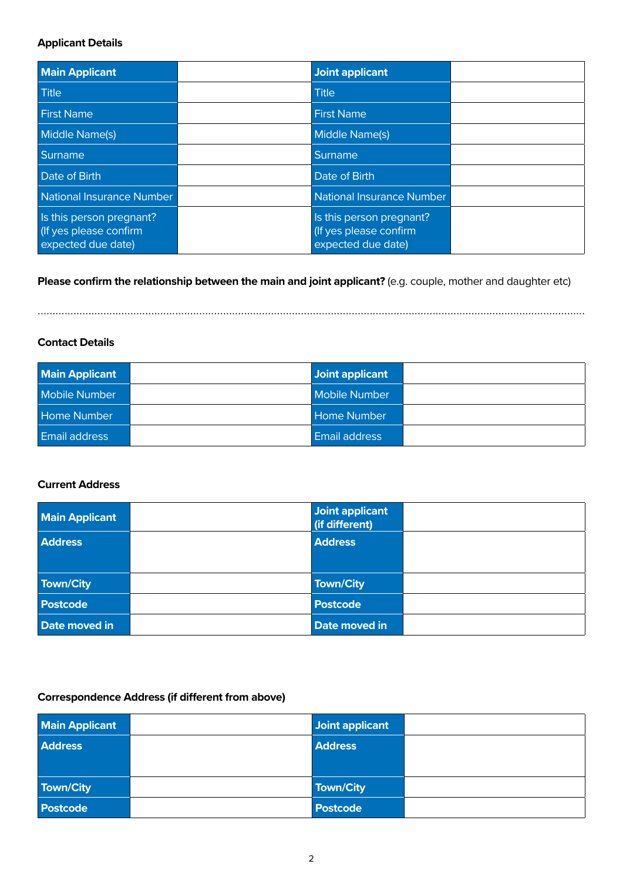#### **Applicant Details**

| <b>Main Applicant</b>                                                    | <b>Joint applicant</b>                                                   |  |
|--------------------------------------------------------------------------|--------------------------------------------------------------------------|--|
| <b>Title</b>                                                             | <b>Title</b>                                                             |  |
| <b>First Name</b>                                                        | <b>First Name</b>                                                        |  |
| <b>Middle Name(s)</b>                                                    | Middle Name(s)                                                           |  |
| Surname                                                                  | Surname                                                                  |  |
| Date of Birth                                                            | Date of Birth                                                            |  |
| National Insurance Number                                                | National Insurance Number                                                |  |
| Is this person pregnant?<br>(If yes please confirm<br>expected due date) | Is this person pregnant?<br>(If yes please confirm<br>expected due date) |  |

**Please confirm the relationship between the main and joint applicant?** (e.g. couple, mother and daughter etc)

.......................................................................................................................................................................................

#### **Contact Details**

| <b>Main Applicant</b> | Joint applicant      |  |
|-----------------------|----------------------|--|
| Mobile Number         | <b>Mobile Number</b> |  |
| <b>Home Number</b>    | <b>Home Number</b>   |  |
| Email address         | <b>Email address</b> |  |

#### **Current Address**

| <b>Main Applicant</b> | Joint applicant<br>(if different) |  |
|-----------------------|-----------------------------------|--|
| <b>Address</b>        | <b>Address</b>                    |  |
|                       |                                   |  |
| Town/City             | Town/City                         |  |
| <b>Postcode</b>       | <b>Postcode</b>                   |  |
| Date moved in         | Date moved in                     |  |

#### **Correspondence Address (if different from above)**

| <b>Main Applicant</b> | Joint applicant |  |
|-----------------------|-----------------|--|
| <b>Address</b>        | <b>Address</b>  |  |
|                       |                 |  |
| Town/City             | Town/City       |  |
| <b>Postcode</b>       | <b>Postcode</b> |  |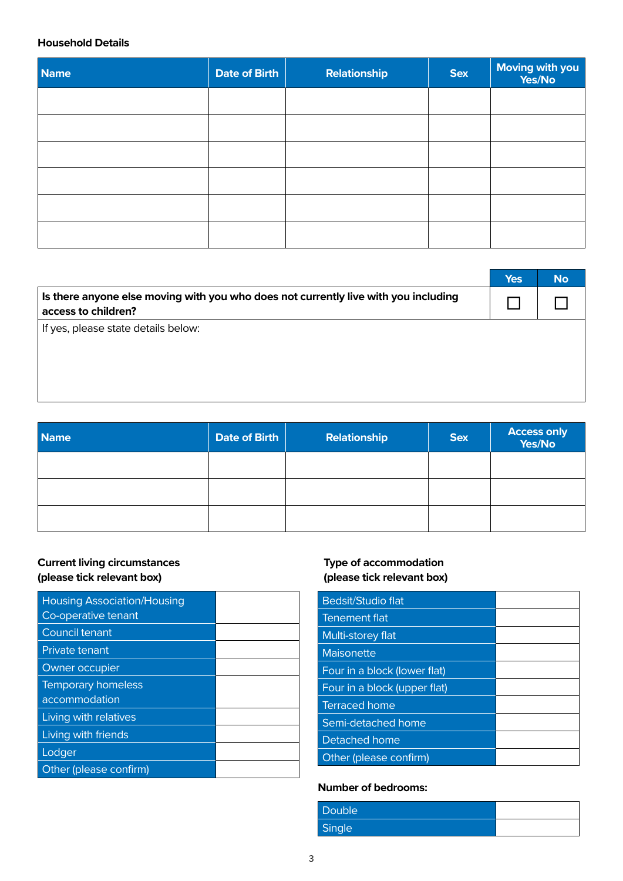#### **Household Details**

| <b>Name</b> | Date of Birth | <b>Relationship</b> | <b>Sex</b> | Moving with you<br>Yes/No |
|-------------|---------------|---------------------|------------|---------------------------|
|             |               |                     |            |                           |
|             |               |                     |            |                           |
|             |               |                     |            |                           |
|             |               |                     |            |                           |
|             |               |                     |            |                           |
|             |               |                     |            |                           |

|                                                                                                            | <b>Yes</b> | <b>No</b> |
|------------------------------------------------------------------------------------------------------------|------------|-----------|
| Is there anyone else moving with you who does not currently live with you including<br>access to children? |            |           |
| If yes, please state details below:                                                                        |            |           |
|                                                                                                            |            |           |
|                                                                                                            |            |           |

| <b>Name</b> | Date of Birth | <b>Relationship</b> | <b>Sex</b> | <b>Access only<br/>Yes/No</b> |
|-------------|---------------|---------------------|------------|-------------------------------|
|             |               |                     |            |                               |
|             |               |                     |            |                               |
|             |               |                     |            |                               |

#### **Current living circumstances (please tick relevant box)**

| <b>Housing Association/Housing</b><br>Co-operative tenant |  |
|-----------------------------------------------------------|--|
| Council tenant                                            |  |
| <b>Private tenant</b>                                     |  |
| Owner occupier                                            |  |
| <b>Temporary homeless</b>                                 |  |
| accommodation                                             |  |
| Living with relatives                                     |  |
| Living with friends                                       |  |
| Lodger                                                    |  |
| Other (please confirm)                                    |  |

### **Type of accommodation (please tick relevant box)**

| Bedsit/Studio flat           |  |
|------------------------------|--|
| Tenement flat                |  |
| Multi-storey flat            |  |
| Maisonette                   |  |
| Four in a block (lower flat) |  |
|                              |  |
| Four in a block (upper flat) |  |
| <b>Terraced home</b>         |  |
| Semi-detached home           |  |
| Detached home                |  |

#### **Number of bedrooms:**

| <b>Double</b> |  |
|---------------|--|
| Single        |  |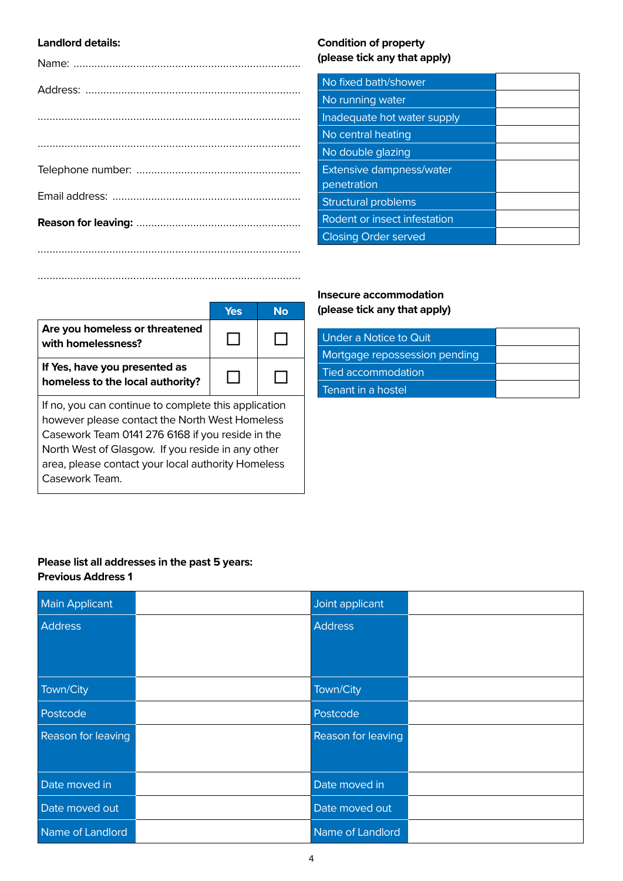#### **Landlord details:**

#### **Condition of property (please tick any that apply)**

| No fixed bath/shower                           |  |
|------------------------------------------------|--|
| No running water                               |  |
| Inadequate hot water supply                    |  |
| No central heating                             |  |
| No double glazing                              |  |
| <b>Extensive dampness/water</b><br>penetration |  |
| <b>Structural problems</b>                     |  |
| Rodent or insect infestation                   |  |
| <b>Closing Order served</b>                    |  |

|                                                                                                                                                                                                                                                                                         | Yes | No |
|-----------------------------------------------------------------------------------------------------------------------------------------------------------------------------------------------------------------------------------------------------------------------------------------|-----|----|
| Are you homeless or threatened<br>with homelessness?                                                                                                                                                                                                                                    |     |    |
| If Yes, have you presented as<br>homeless to the local authority?                                                                                                                                                                                                                       |     |    |
| If no, you can continue to complete this application<br>however please contact the North West Homeless<br>Casework Team 0141 276 6168 if you reside in the<br>North West of Glasgow. If you reside in any other<br>area, please contact your local authority Homeless<br>Casework Team. |     |    |

........................................................................................

#### **Insecure accommodation (please tick any that apply)**

| Under a Notice to Quit        |  |
|-------------------------------|--|
| Mortgage repossession pending |  |
| Tied accommodation            |  |
| Tenant in a hostel            |  |

#### **Please list all addresses in the past 5 years: Previous Address 1**

| <b>Main Applicant</b>     | Joint applicant    |  |
|---------------------------|--------------------|--|
| <b>Address</b>            | <b>Address</b>     |  |
|                           |                    |  |
|                           |                    |  |
| Town/City                 | Town/City          |  |
| Postcode                  | Postcode           |  |
| <b>Reason for leaving</b> | Reason for leaving |  |
|                           |                    |  |
| Date moved in             | Date moved in      |  |
| Date moved out            | Date moved out     |  |
| Name of Landlord          | Name of Landlord   |  |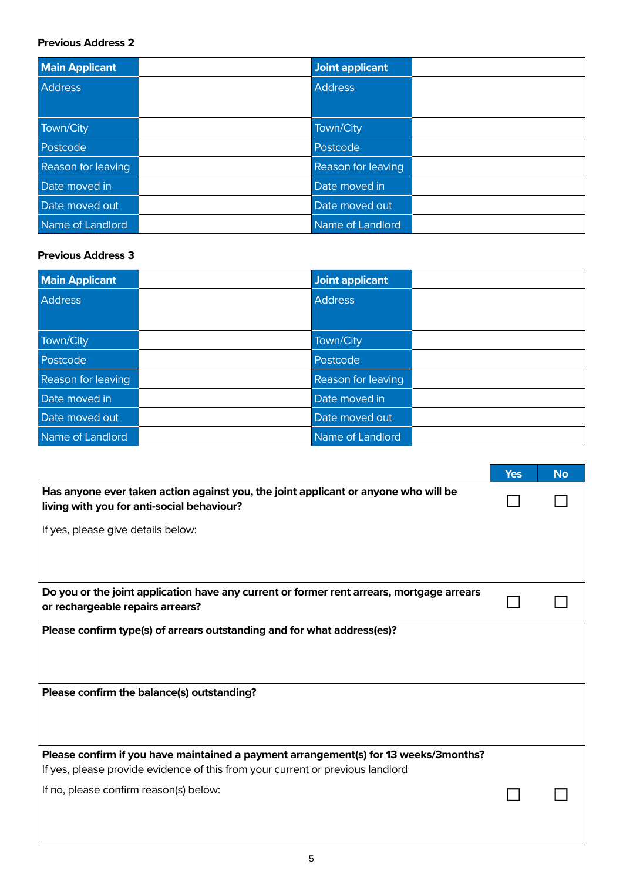#### **Previous Address 2**

| <b>Main Applicant</b>     | <b>Joint applicant</b> |  |
|---------------------------|------------------------|--|
| <b>Address</b>            | <b>Address</b>         |  |
|                           |                        |  |
| Town/City                 | Town/City              |  |
| Postcode                  | Postcode               |  |
| <b>Reason for leaving</b> | Reason for leaving     |  |
| Date moved in             | Date moved in          |  |
| Date moved out            | Date moved out         |  |
| Name of Landlord          | Name of Landlord       |  |

#### **Previous Address 3**

| <b>Main Applicant</b>     | <b>Joint applicant</b> |  |
|---------------------------|------------------------|--|
| <b>Address</b>            | <b>Address</b>         |  |
|                           |                        |  |
| Town/City                 | Town/City              |  |
| Postcode                  | Postcode               |  |
| <b>Reason for leaving</b> | Reason for leaving     |  |
| Date moved in             | Date moved in          |  |
| Date moved out            | Date moved out         |  |
| Name of Landlord          | Name of Landlord       |  |

|                                                                                                                                                                        | <b>Yes</b> | <b>No</b> |
|------------------------------------------------------------------------------------------------------------------------------------------------------------------------|------------|-----------|
| Has anyone ever taken action against you, the joint applicant or anyone who will be<br>living with you for anti-social behaviour?                                      |            |           |
| If yes, please give details below:                                                                                                                                     |            |           |
|                                                                                                                                                                        |            |           |
| Do you or the joint application have any current or former rent arrears, mortgage arrears<br>or rechargeable repairs arrears?                                          |            |           |
| Please confirm type(s) of arrears outstanding and for what address(es)?                                                                                                |            |           |
|                                                                                                                                                                        |            |           |
| Please confirm the balance(s) outstanding?                                                                                                                             |            |           |
|                                                                                                                                                                        |            |           |
| Please confirm if you have maintained a payment arrangement(s) for 13 weeks/3months?<br>If yes, please provide evidence of this from your current or previous landlord |            |           |
| If no, please confirm reason(s) below:                                                                                                                                 |            |           |
|                                                                                                                                                                        |            |           |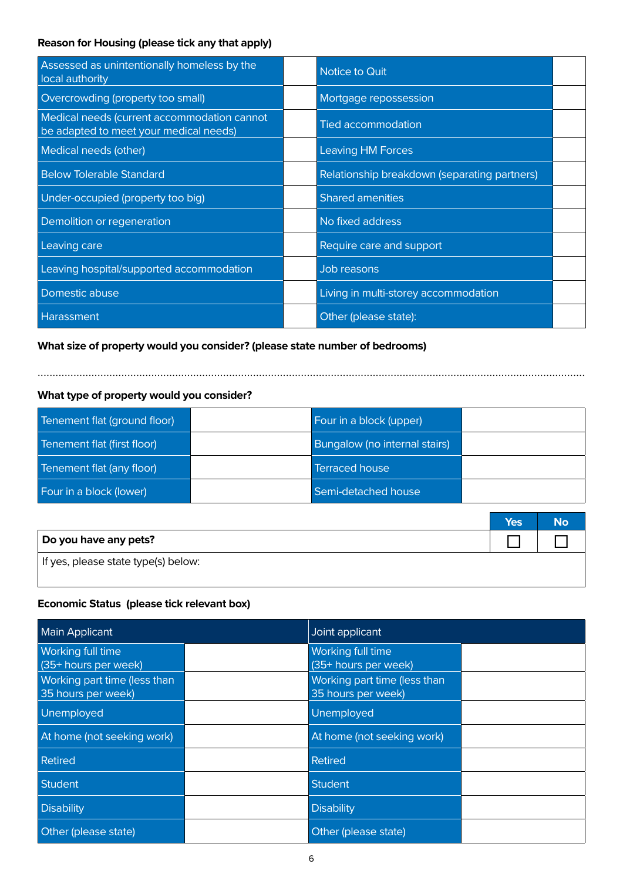### **Reason for Housing (please tick any that apply)**

| Assessed as unintentionally homeless by the<br>local authority                        | Notice to Quit                               |  |
|---------------------------------------------------------------------------------------|----------------------------------------------|--|
| Overcrowding (property too small)                                                     | Mortgage repossession                        |  |
| Medical needs (current accommodation cannot<br>be adapted to meet your medical needs) | <b>Tied accommodation</b>                    |  |
| Medical needs (other)                                                                 | <b>Leaving HM Forces</b>                     |  |
| <b>Below Tolerable Standard</b>                                                       | Relationship breakdown (separating partners) |  |
| Under-occupied (property too big)                                                     | <b>Shared amenities</b>                      |  |
| Demolition or regeneration                                                            | No fixed address                             |  |
| Leaving care                                                                          | Require care and support                     |  |
| Leaving hospital/supported accommodation                                              | Job reasons                                  |  |
| Domestic abuse                                                                        | Living in multi-storey accommodation         |  |
| Harassment                                                                            | Other (please state):                        |  |

#### **What size of property would you consider? (please state number of bedrooms)**

**What type of property would you consider?**

| Tenement flat (ground floor) | Four in a block (upper)       |  |
|------------------------------|-------------------------------|--|
| Tenement flat (first floor)  | Bungalow (no internal stairs) |  |
| Tenement flat (any floor)    | <b>Terraced house</b>         |  |
| Four in a block (lower)      | Semi-detached house           |  |

.......................................................................................................................................................................................

|                                     | Yes | <b>No</b> |
|-------------------------------------|-----|-----------|
| Do you have any pets?               |     |           |
| If yes, please state type(s) below: |     |           |

#### **Economic Status (please tick relevant box)**

| <b>Main Applicant</b>                              | Joint applicant                                    |  |
|----------------------------------------------------|----------------------------------------------------|--|
| <b>Working full time</b><br>(35+ hours per week)   | Working full time<br>(35+ hours per week)          |  |
| Working part time (less than<br>35 hours per week) | Working part time (less than<br>35 hours per week) |  |
| Unemployed                                         | Unemployed                                         |  |
| At home (not seeking work)                         | At home (not seeking work)                         |  |
| Retired                                            | Retired                                            |  |
| <b>Student</b>                                     | <b>Student</b>                                     |  |
| <b>Disability</b>                                  | <b>Disability</b>                                  |  |
| Other (please state)                               | Other (please state)                               |  |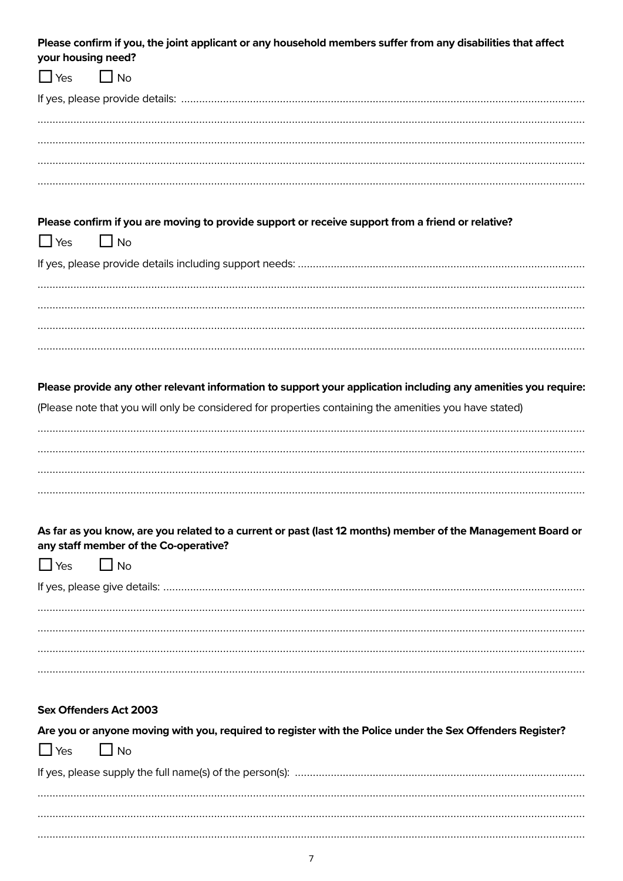| Please confirm if you, the joint applicant or any household members suffer from any disabilities that affect<br>your housing need? |  |
|------------------------------------------------------------------------------------------------------------------------------------|--|
| $\Box$ No<br>$\Box$ Yes                                                                                                            |  |
|                                                                                                                                    |  |
|                                                                                                                                    |  |
|                                                                                                                                    |  |
|                                                                                                                                    |  |
|                                                                                                                                    |  |
| Please confirm if you are moving to provide support or receive support from a friend or relative?                                  |  |
| $\Box$ Yes<br>$\Box$ No                                                                                                            |  |
|                                                                                                                                    |  |
|                                                                                                                                    |  |
|                                                                                                                                    |  |
|                                                                                                                                    |  |
|                                                                                                                                    |  |
| Please provide any other relevant information to support your application including any amenities you require:                     |  |
| (Please note that you will only be considered for properties containing the amenities you have stated)                             |  |
|                                                                                                                                    |  |
|                                                                                                                                    |  |
|                                                                                                                                    |  |
|                                                                                                                                    |  |
| As far as you know, are you related to a current or past (last 12 months) member of the Management Board or                        |  |
| any staff member of the Co-operative?                                                                                              |  |
| $\Box$ No<br>$\Box$ Yes                                                                                                            |  |
|                                                                                                                                    |  |
|                                                                                                                                    |  |
|                                                                                                                                    |  |
|                                                                                                                                    |  |
|                                                                                                                                    |  |
| <b>Sex Offenders Act 2003</b>                                                                                                      |  |
| Are you or anyone moving with you, required to register with the Police under the Sex Offenders Register?                          |  |
| $\Box$ No<br>$\Box$ Yes                                                                                                            |  |
|                                                                                                                                    |  |
|                                                                                                                                    |  |
|                                                                                                                                    |  |
|                                                                                                                                    |  |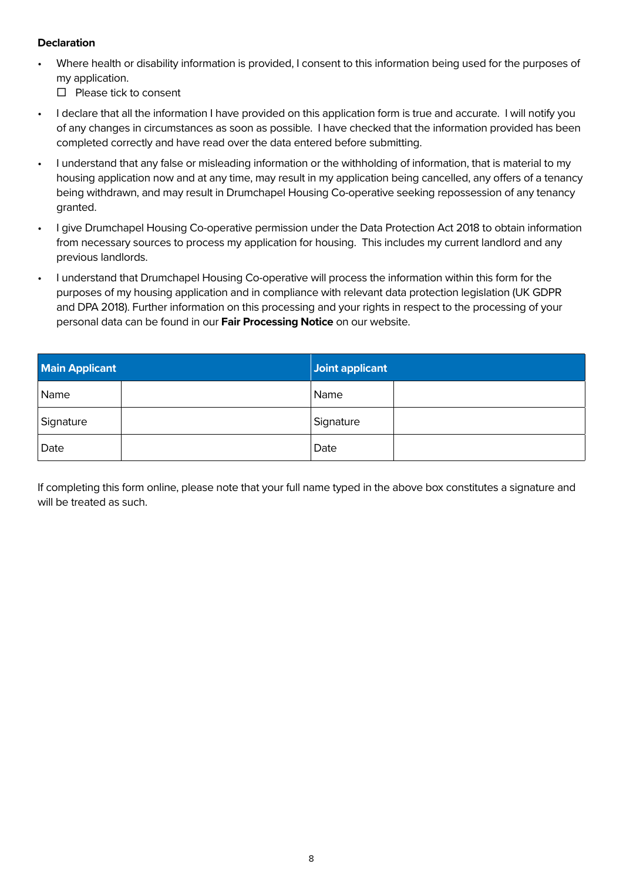#### **Declaration**

• Where health or disability information is provided, I consent to this information being used for the purposes of my application.

 $\Box$  Please tick to consent

- I declare that all the information I have provided on this application form is true and accurate. I will notify you of any changes in circumstances as soon as possible. I have checked that the information provided has been completed correctly and have read over the data entered before submitting.
- I understand that any false or misleading information or the withholding of information, that is material to my housing application now and at any time, may result in my application being cancelled, any offers of a tenancy being withdrawn, and may result in Drumchapel Housing Co-operative seeking repossession of any tenancy granted.
- I give Drumchapel Housing Co-operative permission under the Data Protection Act 2018 to obtain information from necessary sources to process my application for housing. This includes my current landlord and any previous landlords.
- I understand that Drumchapel Housing Co-operative will process the information within this form for the purposes of my housing application and in compliance with relevant data protection legislation (UK GDPR and DPA 2018). Further information on this processing and your rights in respect to the processing of your personal data can be found in our **Fair Processing Notice** on our website.

| <b>Main Applicant</b> | Joint applicant |  |
|-----------------------|-----------------|--|
| Name                  | Name            |  |
| Signature             | Signature       |  |
| Date                  | Date            |  |

If completing this form online, please note that your full name typed in the above box constitutes a signature and will be treated as such.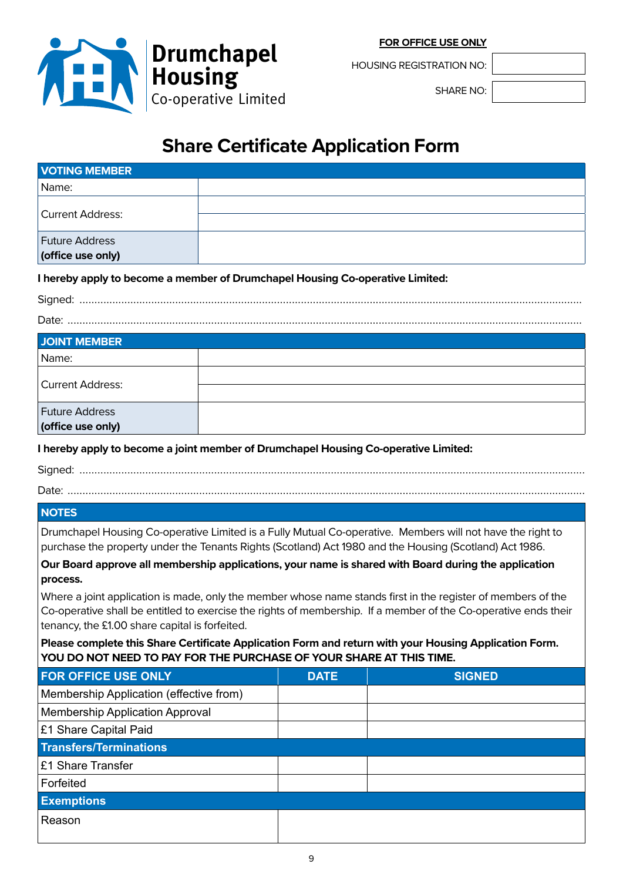

**Drumchapel Housing** Co-operative Limited

HOUSING REGISTRATION NO:

SHARE NO:

## **Share Certificate Application Form**

| <b>VOTING MEMBER</b>                                                                                                                                              |  |             |                                                                                                                                                                                                                       |  |  |
|-------------------------------------------------------------------------------------------------------------------------------------------------------------------|--|-------------|-----------------------------------------------------------------------------------------------------------------------------------------------------------------------------------------------------------------------|--|--|
| Name:                                                                                                                                                             |  |             |                                                                                                                                                                                                                       |  |  |
| <b>Current Address:</b>                                                                                                                                           |  |             |                                                                                                                                                                                                                       |  |  |
|                                                                                                                                                                   |  |             |                                                                                                                                                                                                                       |  |  |
| <b>Future Address</b>                                                                                                                                             |  |             |                                                                                                                                                                                                                       |  |  |
| (office use only)                                                                                                                                                 |  |             |                                                                                                                                                                                                                       |  |  |
| I hereby apply to become a member of Drumchapel Housing Co-operative Limited:                                                                                     |  |             |                                                                                                                                                                                                                       |  |  |
|                                                                                                                                                                   |  |             |                                                                                                                                                                                                                       |  |  |
|                                                                                                                                                                   |  |             |                                                                                                                                                                                                                       |  |  |
| <b>JOINT MEMBER</b>                                                                                                                                               |  |             |                                                                                                                                                                                                                       |  |  |
| Name:                                                                                                                                                             |  |             |                                                                                                                                                                                                                       |  |  |
| <b>Current Address:</b>                                                                                                                                           |  |             |                                                                                                                                                                                                                       |  |  |
|                                                                                                                                                                   |  |             |                                                                                                                                                                                                                       |  |  |
| <b>Future Address</b><br>(office use only)                                                                                                                        |  |             |                                                                                                                                                                                                                       |  |  |
|                                                                                                                                                                   |  |             |                                                                                                                                                                                                                       |  |  |
| I hereby apply to become a joint member of Drumchapel Housing Co-operative Limited:                                                                               |  |             |                                                                                                                                                                                                                       |  |  |
|                                                                                                                                                                   |  |             |                                                                                                                                                                                                                       |  |  |
|                                                                                                                                                                   |  |             |                                                                                                                                                                                                                       |  |  |
| <b>NOTES</b>                                                                                                                                                      |  |             |                                                                                                                                                                                                                       |  |  |
|                                                                                                                                                                   |  |             | Drumchapel Housing Co-operative Limited is a Fully Mutual Co-operative. Members will not have the right to<br>purchase the property under the Tenants Rights (Scotland) Act 1980 and the Housing (Scotland) Act 1986. |  |  |
|                                                                                                                                                                   |  |             | Our Board approve all membership applications, your name is shared with Board during the application                                                                                                                  |  |  |
| process.                                                                                                                                                          |  |             |                                                                                                                                                                                                                       |  |  |
| Where a joint application is made, only the member whose name stands first in the register of members of the                                                      |  |             |                                                                                                                                                                                                                       |  |  |
| Co-operative shall be entitled to exercise the rights of membership. If a member of the Co-operative ends their<br>tenancy, the £1.00 share capital is forfeited. |  |             |                                                                                                                                                                                                                       |  |  |
|                                                                                                                                                                   |  |             | Please complete this Share Certificate Application Form and return with your Housing Application Form.                                                                                                                |  |  |
| YOU DO NOT NEED TO PAY FOR THE PURCHASE OF YOUR SHARE AT THIS TIME.                                                                                               |  |             |                                                                                                                                                                                                                       |  |  |
| <b>FOR OFFICE USE ONLY</b>                                                                                                                                        |  | <b>DATE</b> | <b>SIGNED</b>                                                                                                                                                                                                         |  |  |
| Membership Application (effective from)                                                                                                                           |  |             |                                                                                                                                                                                                                       |  |  |
| <b>Membership Application Approval</b>                                                                                                                            |  |             |                                                                                                                                                                                                                       |  |  |
| £1 Share Capital Paid<br><b>Transfers/Terminations</b>                                                                                                            |  |             |                                                                                                                                                                                                                       |  |  |
| £1 Share Transfer                                                                                                                                                 |  |             |                                                                                                                                                                                                                       |  |  |
| Forfeited                                                                                                                                                         |  |             |                                                                                                                                                                                                                       |  |  |
|                                                                                                                                                                   |  |             |                                                                                                                                                                                                                       |  |  |
| <b>Exemptions</b>                                                                                                                                                 |  |             |                                                                                                                                                                                                                       |  |  |